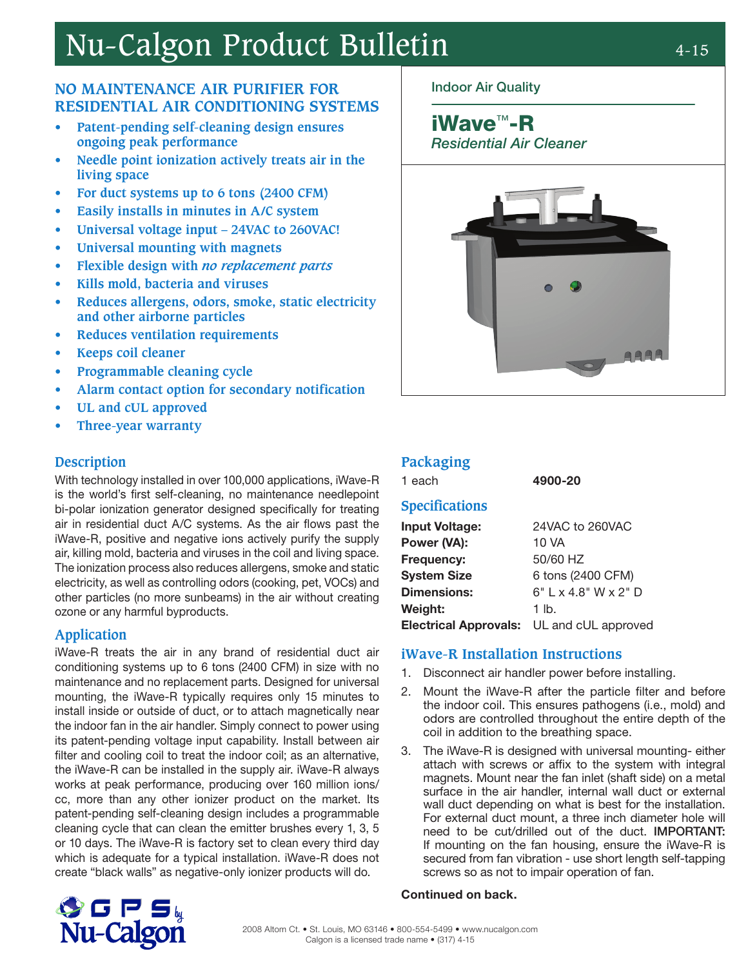# Nu-Calgon Product Bulletin 4-15

#### **NO MAINTENANCE AIR PURIFIER FOR RESIDENTIAL AIR CONDITIONING SYSTEMS**

- **• Patent-pending self-cleaning design ensures ongoing peak performance**
- **• Needle point ionization actively treats air in the living space**
- **• For duct systems up to 6 tons (2400 CFM)**
- **• Easily installs in minutes in A/C system**
- **• Universal voltage input 24VAC to 260VAC!**
- **• Universal mounting with magnets**
- **• Flexible design with** *no replacement parts*
- **• Kills mold, bacteria and viruses**
- **• Reduces allergens, odors, smoke, static electricity and other airborne particles**
- **• Reduces ventilation requirements**
- **• Keeps coil cleaner**
- **• Programmable cleaning cycle**
- **• Alarm contact option for secondary notification**
- **• UL and cUL approved**
- **• Three-year warranty**

#### **Description**

With technology installed in over 100,000 applications, iWave-R is the world's first self-cleaning, no maintenance needlepoint bi-polar ionization generator designed specifically for treating air in residential duct A/C systems. As the air flows past the iWave-R, positive and negative ions actively purify the supply air, killing mold, bacteria and viruses in the coil and living space. The ionization process also reduces allergens, smoke and static electricity, as well as controlling odors (cooking, pet, VOCs) and other particles (no more sunbeams) in the air without creating ozone or any harmful byproducts.

#### **Application**

iWave-R treats the air in any brand of residential duct air conditioning systems up to 6 tons (2400 CFM) in size with no maintenance and no replacement parts. Designed for universal mounting, the iWave-R typically requires only 15 minutes to install inside or outside of duct, or to attach magnetically near the indoor fan in the air handler. Simply connect to power using its patent-pending voltage input capability. Install between air filter and cooling coil to treat the indoor coil; as an alternative, the iWave-R can be installed in the supply air. iWave-R always works at peak performance, producing over 160 million ions/ cc, more than any other ionizer product on the market. Its patent-pending self-cleaning design includes a programmable cleaning cycle that can clean the emitter brushes every 1, 3, 5 or 10 days. The iWave-R is factory set to clean every third day which is adequate for a typical installation. iWave-R does not create "black walls" as negative-only ionizer products will do.

#### Indoor Air Quality

## iWave™-R

Residential Air Cleaner



#### **Packaging**

1 each 4900-20

#### **Specifications**

| <b>Input Voltage:</b>                     | 24VAC to 260VAC        |
|-------------------------------------------|------------------------|
| Power (VA):                               | 10 VA                  |
| <b>Frequency:</b>                         | 50/60 HZ               |
| <b>System Size</b>                        | 6 tons (2400 CFM)      |
| <b>Dimensions:</b>                        | $6"$ L x 4.8" W x 2" D |
| Weight:                                   | $1$ lb.                |
| Electrical Approvals: UL and cUL approved |                        |

#### **iWave-R Installation Instructions**

- 1. Disconnect air handler power before installing.
- 2. Mount the iWave-R after the particle filter and before the indoor coil. This ensures pathogens (i.e., mold) and odors are controlled throughout the entire depth of the coil in addition to the breathing space.
- 3. The iWave-R is designed with universal mounting- either attach with screws or affix to the system with integral magnets. Mount near the fan inlet (shaft side) on a metal surface in the air handler, internal wall duct or external wall duct depending on what is best for the installation. For external duct mount, a three inch diameter hole will need to be cut/drilled out of the duct. IMPORTANT: If mounting on the fan housing, ensure the iWave-R is secured from fan vibration - use short length self-tapping screws so as not to impair operation of fan.